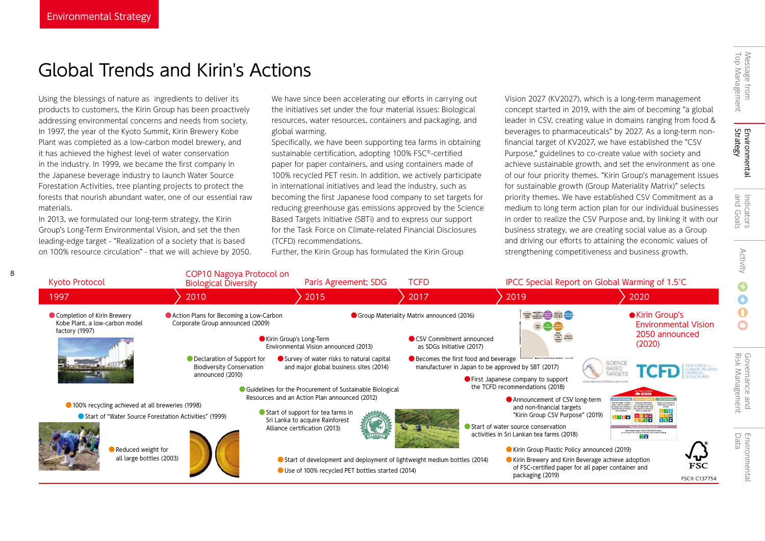8

### Global Trends and Kirin's Actions

Using the blessings of nature as ingredients to deliver its products to customers, the Kirin Group has been proactively addressing environmental concerns and needs from society. In 1997, the year of the Kyoto Summit, Kirin Brewery Kobe Plant was completed as a low-carbon model brewery, and it has achieved the highest level of water conservation in the industry. In 1999, we became the first company in the Japanese beverage industry to launch Water Source Forestation Activities, tree planting projects to protect the forests that nourish abundant water, one of our essential raw materials.

In 2013, we formulated our long-term strategy, the Kirin Group's Long-Term Environmental Vision, and set the then leading-edge target - "Realization of a society that is based on 100% resource circulation" - that we will achieve by 2050. We have since been accelerating our efforts in carrying out the initiatives set under the four material issues: Biological resources, water resources, containers and packaging, and global warming.

Specifically, we have been supporting tea farms in obtaining sustainable certification, adopting 100% FSC®-certified paper for paper containers, and using containers made of 100% recycled PET resin. In addition, we actively participate in international initiatives and lead the industry, such as becoming the first Japanese food company to set targets for reducing greenhouse gas emissions approved by the Science Based Targets initiative (SBTi) and to express our support for the Task Force on Climate-related Financial Disclosures (TCFD) recommendations.

Further, the Kirin Group has formulated the Kirin Group

Vision 2027 (KV2027), which is a long-term management concept started in 2019, with the aim of becoming "a global leader in CSV, creating value in domains ranging from food & beverages to pharmaceuticals" by 2027. As a long-term nonfinancial target of KV2027, we have established the "CSV Purpose," guidelines to co-create value with society and achieve sustainable growth, and set the environment as one of our four priority themes. "Kirin Group's management issues for sustainable growth (Group Materiality Matrix)" selects priority themes. We have established CSV Commitment as a medium to long term action plan for our individual businesses in order to realize the CSV Purpose and, by linking it with our business strategy, we are creating social value as a Group and driving our efforts to attaining the economic values of strengthening competitiveness and business growth.

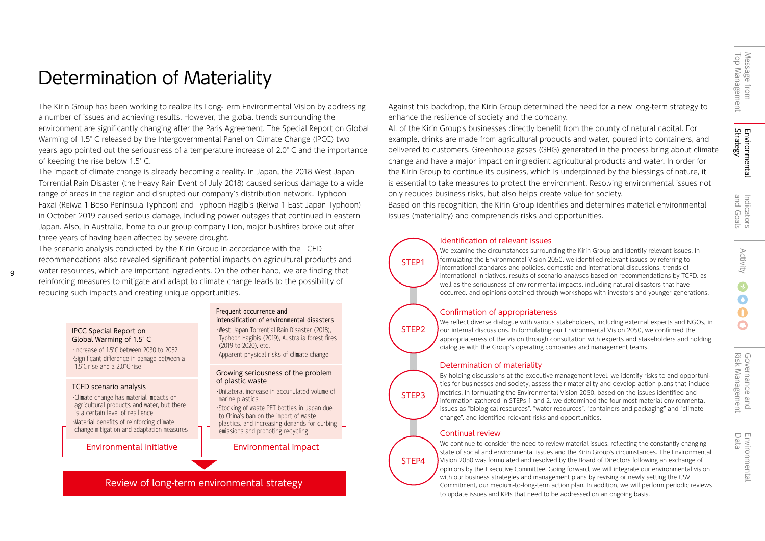### Governance and<br>Risk Management Risk Management Governance and

## Determination of Materiality

The Kirin Group has been working to realize its Long-Term Environmental Vision by addressing a number of issues and achieving results. However, the global trends surrounding the environment are significantly changing after the Paris Agreement. The Special Report on Global Warming of 1.5°C released by the Intergovernmental Panel on Climate Change (IPCC) two years ago pointed out the seriousness of a temperature increase of 2.0°C and the importance of keeping the rise below 1.5°C.

The impact of climate change is already becoming a reality. In Japan, the 2018 West Japan Torrential Rain Disaster (the Heavy Rain Event of July 2018) caused serious damage to a wide range of areas in the region and disrupted our company's distribution network. Typhoon Faxai (Reiwa 1 Boso Peninsula Typhoon) and Typhoon Hagibis (Reiwa 1 East Japan Typhoon) in October 2019 caused serious damage, including power outages that continued in eastern Japan. Also, in Australia, home to our group company Lion, major bushfires broke out after three years of having been affected by severe drought.

The scenario analysis conducted by the Kirin Group in accordance with the TCFD recommendations also revealed significant potential impacts on agricultural products and water resources, which are important ingredients. On the other hand, we are finding that reinforcing measures to mitigate and adapt to climate change leads to the possibility of reducing such impacts and creating unique opportunities.

#### IPCC Special Report on Global Warming of 1.5°C

9

・Increase of 1.5°C between 2030 to 2052 ・Significant difference in damage between a 1.5°C-rise and a 2.0°C-rise

### TCFD scenario analysis

・Climate change has material impacts on agricultural products and water, but there is a certain level of resilience ・Material benefits of reinforcing climate change mitigation and adaptation measures

Environmental initiative Environmental impact

### Frequent occurrence and intensification of environmental disasters

・West Japan Torrential Rain Disaster (2018), Typhoon Hagibis (2019), Australia forest fires (2019 to 2020), etc.

Apparent physical risks of climate change

### Growing seriousness of the problem of plastic waste

・Unilateral increase in accumulated volume of marine plastics ・Stocking of waste PET bottles in Japan due to China's ban on the import of waste plastics, and increasing demands for curbing emissions and promoting recycling

Review of long-term environmental strategy

Against this backdrop, the Kirin Group determined the need for a new long-term strategy to enhance the resilience of society and the company.

All of the Kirin Group's businesses directly benefit from the bounty of natural capital. For example, drinks are made from agricultural products and water, poured into containers, and delivered to customers. Greenhouse gases (GHG) generated in the process bring about climate change and have a major impact on ingredient agricultural products and water. In order for the Kirin Group to continue its business, which is underpinned by the blessings of nature, it is essential to take measures to protect the environment. Resolving environmental issues not only reduces business risks, but also helps create value for society.

Based on this recognition, the Kirin Group identifies and determines material environmental issues (materiality) and comprehends risks and opportunities.

### Identification of relevant issues

STEP1

STEP2

STEP3

STEP4

We examine the circumstances surrounding the Kirin Group and identify relevant issues. In formulating the Environmental Vision 2050, we identified relevant issues by referring to international standards and policies, domestic and international discussions, trends of international initiatives, results of scenario analyses based on recommendations by TCFD, as well as the seriousness of environmental impacts, including natural disasters that have occurred, and opinions obtained through workshops with investors and younger generations.

### Confirmation of appropriateness

We reflect diverse dialogue with various stakeholders, including external experts and NGOs, in our internal discussions. In formulating our Environmental Vision 2050, we confirmed the appropriateness of the vision through consultation with experts and stakeholders and holding dialogue with the Group's operating companies and management teams.

### Determination of materiality

By holding discussions at the executive management level, we identify risks to and opportunities for businesses and society, assess their materiality and develop action plans that include metrics. In formulating the Environmental Vision 2050, based on the issues identified and information gathered in STEPs 1 and 2, we determined the four most material environmental issues as "biological resources", "water resources", "containers and packaging" and "climate change", and identified relevant risks and opportunities.

### Continual review

We continue to consider the need to review material issues, reflecting the constantly changing state of social and environmental issues and the Kirin Group's circumstances. The Environmental Vision 2050 was formulated and resolved by the Board of Directors following an exchange of opinions by the Executive Committee. Going forward, we will integrate our environmental vision with our business strategies and management plans by revising or newly setting the CSV Commitment, our medium-to-long-term action plan. In addition, we will perform periodic reviews to update issues and KPIs that need to be addressed on an ongoing basis.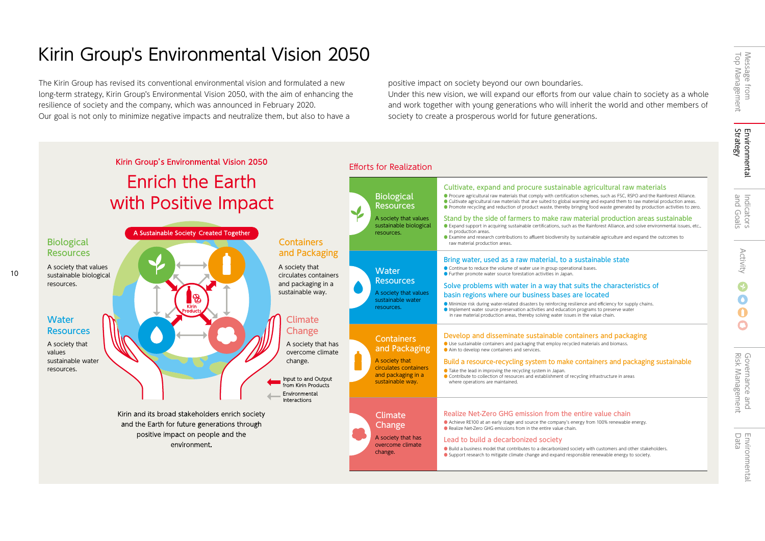## Kirin Group's Environmental Vision 2050

The Kirin Group has revised its conventional environmental vision and formulated a new long-term strategy, Kirin Group's Environmental Vision 2050, with the aim of enhancing the resilience of society and the company, which was announced in February 2020. Our goal is not only to minimize negative impacts and neutralize them, but also to have a

positive impact on society beyond our own boundaries.

Under this new vision, we will expand our efforts from our value chain to society as a whole and work together with young generations who will inherit the world and other members of society to create a prosperous world for future generations.

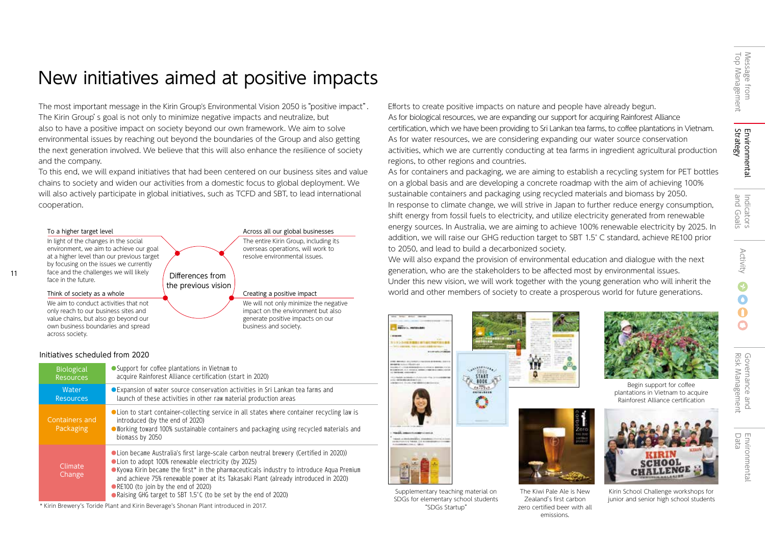# Environmental<br>Strategy Environmental

 $\bullet$ 

### **Risk Management** Risk Management Governance Governance and

and

### New initiatives aimed at positive impacts

The most important message in the Kirin Group's Environmental Vision 2050 is"positive impact". The Kirin Group's goal is not only to minimize negative impacts and neutralize, but also to have a positive impact on society beyond our own framework. We aim to solve environmental issues by reaching out beyond the boundaries of the Group and also getting the next generation involved. We believe that this will also enhance the resilience of society and the company.

To this end, we will expand initiatives that had been centered on our business sites and value chains to society and widen our activities from a domestic focus to global deployment. We will also actively participate in global initiatives, such as TCFD and SBT, to lead international cooperation.



### Initiatives scheduled from 2020

11

| <b>Biological</b>           | ● Support for coffee plantations in Vietnam to                                                                                                                                                                                                                                                                                                                                                                                               |
|-----------------------------|----------------------------------------------------------------------------------------------------------------------------------------------------------------------------------------------------------------------------------------------------------------------------------------------------------------------------------------------------------------------------------------------------------------------------------------------|
| <b>Resources</b>            | acquire Rainforest Alliance certification (start in 2020)                                                                                                                                                                                                                                                                                                                                                                                    |
| Water                       | ● Expansion of water source conservation activities in Sri Lankan tea farms and                                                                                                                                                                                                                                                                                                                                                              |
| <b>Resources</b>            | launch of these activities in other raw material production areas                                                                                                                                                                                                                                                                                                                                                                            |
| Containers and<br>Packaging | • Lion to start container-collecting service in all states where container recycling law is<br>introduced (by the end of 2020)<br>●Working toward 100% sustainable containers and packaging using recycled materials and<br>biomass by 2050                                                                                                                                                                                                  |
| Climate<br>Change           | • Lion became Australia's first large-scale carbon neutral brewery (Certified in 2020))<br>• Lion to adopt 100% renewable electricity (by 2025)<br>● Kyowa Kirin became the first* in the pharmaceuticals industry to introduce Aqua Premium<br>and achieve 75% renewable power at its Takasaki Plant (already introduced in 2020)<br>RE100 (to join by the end of 2020)<br>• Raising GHG target to SBT 1.5°C (to be set by the end of 2020) |

\* Kirin Brewery's Toride Plant and Kirin Beverage's Shonan Plant introduced in 2017.

Efforts to create positive impacts on nature and people have already begun. As for biological resources, we are expanding our support for acquiring Rainforest Alliance certification, which we have been providing to Sri Lankan tea farms, to coffee plantations in Vietnam. As for water resources, we are considering expanding our water source conservation activities, which we are currently conducting at tea farms in ingredient agricultural production regions, to other regions and countries.

As for containers and packaging, we are aiming to establish a recycling system for PET bottles on a global basis and are developing a concrete roadmap with the aim of achieving 100% sustainable containers and packaging using recycled materials and biomass by 2050. In response to climate change, we will strive in Japan to further reduce energy consumption, shift energy from fossil fuels to electricity, and utilize electricity generated from renewable energy sources. In Australia, we are aiming to achieve 100% renewable electricity by 2025. In addition, we will raise our GHG reduction target to SBT 1.5°C standard, achieve RE100 prior to 2050, and lead to build a decarbonized society.

We will also expand the provision of environmental education and dialogue with the next generation, who are the stakeholders to be affected most by environmental issues. Under this new vision, we will work together with the young generation who will inherit the world and other members of society to create a prosperous world for future generations.





Supplementary teaching material on SDGs for elementary school students "SDGs Startup"



The Kiwi Pale Ale is New Zealand's first carbon zero certified beer with all emissions.





Kirin School Challenge workshops for junior and senior high school students

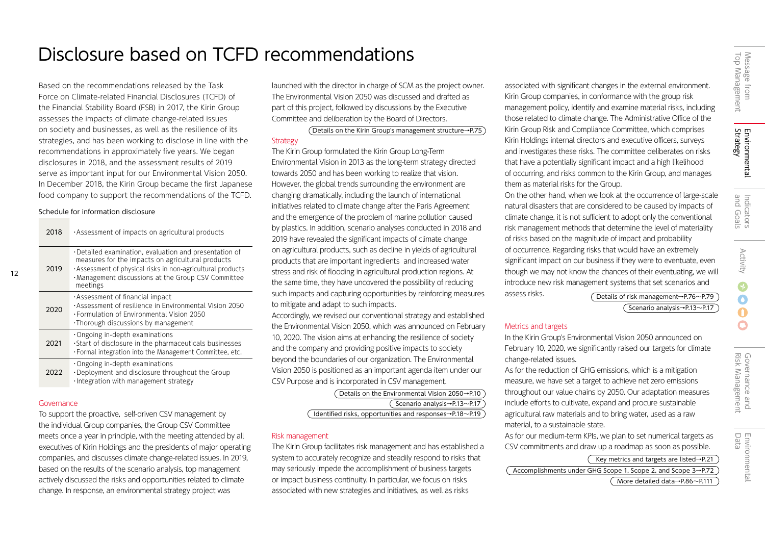$\mathbf{\Omega}$ 

## Disclosure based on TCFD recommendations

Based on the recommendations released by the Task Force on Climate-related Financial Disclosures (TCFD) of the Financial Stability Board (FSB) in 2017, the Kirin Group assesses the impacts of climate change-related issues on society and businesses, as well as the resilience of its strategies, and has been working to disclose in line with the recommendations in approximately five years. We began disclosures in 2018, and the assessment results of 2019 serve as important input for our Environmental Vision 2050. In December 2018, the Kirin Group became the first Japanese food company to support the recommendations of the TCFD.

### Schedule for information disclosure

| 2018 | . Assessment of impacts on agricultural products                                                                                                                                                                                            |
|------|---------------------------------------------------------------------------------------------------------------------------------------------------------------------------------------------------------------------------------------------|
| 2019 | •Detailed examination, evaluation and presentation of<br>measures for the impacts on agricultural products<br>. Assessment of physical risks in non-agricultural products<br>·Management discussions at the Group CSV Committee<br>meetings |
| 2020 | . Assessment of financial impact<br>. Assessment of resilience in Environmental Vision 2050<br>⋅Formulation of Environmental Vision 2050<br>. Thorough discussions by management                                                            |
| 2021 | $\cdot$ Ongoing in-depth examinations<br>·Start of disclosure in the pharmaceuticals businesses<br>· Formal integration into the Management Committee, etc.                                                                                 |
| 2022 | $\cdot$ Ongoing in-depth examinations<br>·Deployment and disclosure throughout the Group<br>·Integration with management strategy                                                                                                           |

### Governance

12

To support the proactive, self-driven CSV management by the individual Group companies, the Group CSV Committee meets once a year in principle, with the meeting attended by all executives of Kirin Holdings and the presidents of major operating companies, and discusses climate change-related issues. In 2019, based on the results of the scenario analysis, top management actively discussed the risks and opportunities related to climate change. In response, an environmental strategy project was

launched with the director in charge of SCM as the project owner. The Environmental Vision 2050 was discussed and drafted as part of this project, followed by discussions by the Executive Committee and deliberation by the Board of Directors.

Details on the Kirin Group's management structure→P.75

### **Strategy**

The Kirin Group formulated the Kirin Group Long-Term Environmental Vision in 2013 as the long-term strategy directed towards 2050 and has been working to realize that vision. However, the global trends surrounding the environment are changing dramatically, including the launch of international initiatives related to climate change after the Paris Agreement and the emergence of the problem of marine pollution caused by plastics. In addition, scenario analyses conducted in 2018 and 2019 have revealed the significant impacts of climate change on agricultural products, such as decline in yields of agricultural products that are important ingredients and increased water stress and risk of flooding in agricultural production regions. At the same time, they have uncovered the possibility of reducing such impacts and capturing opportunities by reinforcing measures to mitigate and adapt to such impacts.

Accordingly, we revised our conventional strategy and established the Environmental Vision 2050, which was announced on February 10, 2020. The vision aims at enhancing the resilience of society and the company and providing positive impacts to society beyond the boundaries of our organization. The Environmental Vision 2050 is positioned as an important agenda item under our CSV Purpose and is incorporated in CSV management.

| $($ Details on the Environmental Vision 2050 $\rightarrow$ P.10)              |
|-------------------------------------------------------------------------------|
| Genario analysis→P.13~P.17                                                    |
| Identified risks, opportunities and responses $\rightarrow$ P.18 $\sim$ P.19) |

### Risk management

The Kirin Group facilitates risk management and has established a system to accurately recognize and steadily respond to risks that may seriously impede the accomplishment of business targets or impact business continuity. In particular, we focus on risks associated with new strategies and initiatives, as well as risks

associated with significant changes in the external environment. Kirin Group companies, in conformance with the group risk management policy, identify and examine material risks, including those related to climate change. The Administrative Office of the Kirin Group Risk and Compliance Committee, which comprises Kirin Holdings internal directors and executive officers, surveys and investigates these risks. The committee deliberates on risks that have a potentially significant impact and a high likelihood of occurring, and risks common to the Kirin Group, and manages them as material risks for the Group.

On the other hand, when we look at the occurrence of large-scale natural disasters that are considered to be caused by impacts of climate change, it is not sufficient to adopt only the conventional risk management methods that determine the level of materiality of risks based on the magnitude of impact and probability of occurrence. Regarding risks that would have an extremely significant impact on our business if they were to eventuate, even though we may not know the chances of their eventuating, we will introduce new risk management systems that set scenarios and assess risks.

Scenario analysis→P.13~P.17 Details of risk management→P.76〜P.79

### Metrics and targets

In the Kirin Group's Environmental Vision 2050 announced on February 10, 2020, we significantly raised our targets for climate change-related issues.

As for the reduction of GHG emissions, which is a mitigation measure, we have set a target to achieve net zero emissions throughout our value chains by 2050. Our adaptation measures include efforts to cultivate, expand and procure sustainable agricultural raw materials and to bring water, used as a raw material, to a sustainable state.

As for our medium-term KPIs, we plan to set numerical targets as CSV commitments and draw up a roadmap as soon as possible.

| Key metrics and targets are listed $\rightarrow$ P.21                         |
|-------------------------------------------------------------------------------|
| $($ Accomplishments under GHG Scope 1, Scope 2, and Scope $3\rightarrow$ P.72 |
| More detailed data $\rightarrow$ P.86 $\sim$ P.111                            |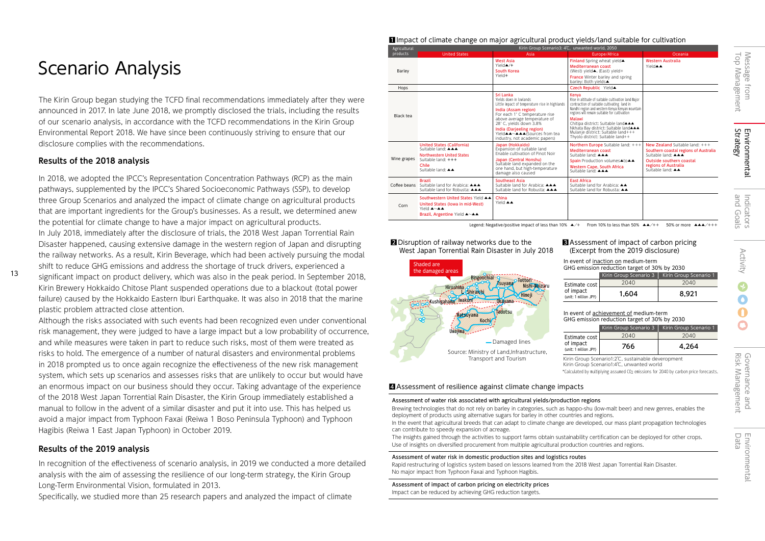### Scenario Analysis

The Kirin Group began studying the TCFD final recommendations immediately after they were announced in 2017. In late June 2018, we promptly disclosed the trials, including the results of our scenario analysis, in accordance with the TCFD recommendations in the Kirin Group Environmental Report 2018. We have since been continuously striving to ensure that our disclosure complies with the recommendations.

### **Results of the 2018 analysis**

13

In 2018, we adopted the IPCC's Representation Concentration Pathways (RCP) as the main pathways, supplemented by the IPCC's Shared Socioeconomic Pathways (SSP), to develop three Group Scenarios and analyzed the impact of climate change on agricultural products that are important ingredients for the Group's businesses. As a result, we determined anew the potential for climate change to have a major impact on agricultural products.

In July 2018, immediately after the disclosure of trials, the 2018 West Japan Torrential Rain Disaster happened, causing extensive damage in the western region of Japan and disrupting the railway networks. As a result, Kirin Beverage, which had been actively pursuing the modal shift to reduce GHG emissions and address the shortage of truck drivers, experienced a

significant impact on product delivery, which was also in the peak period. In September 2018, Kirin Brewery Hokkaido Chitose Plant suspended operations due to a blackout (total power failure) caused by the Hokkaido Eastern Iburi Earthquake. It was also in 2018 that the marine plastic problem attracted close attention.

Although the risks associated with such events had been recognized even under conventional risk management, they were judged to have a large impact but a low probability of occurrence, and while measures were taken in part to reduce such risks, most of them were treated as risks to hold. The emergence of a number of natural disasters and environmental problems in 2018 prompted us to once again recognize the effectiveness of the new risk management system, which sets up scenarios and assesses risks that are unlikely to occur but would have an enormous impact on our business should they occur. Taking advantage of the experience of the 2018 West Japan Torrential Rain Disaster, the Kirin Group immediately established a manual to follow in the advent of a similar disaster and put it into use. This has helped us avoid a major impact from Typhoon Faxai (Reiwa 1 Boso Peninsula Typhoon) and Typhoon Hagibis (Reiwa 1 East Japan Typhoon) in October 2019.

### **Results of the 2019 analysis**

In recognition of the effectiveness of scenario analysis, in 2019 we conducted a more detailed analysis with the aim of assessing the resilience of our long-term strategy, the Kirin Group Long-Term Environmental Vision, formulated in 2013.

Specifically, we studied more than 25 research papers and analyzed the impact of climate

#### **II** Impact of climate change on major agricultural product yields/land suitable for cultivation

| Agricultural | Kirin Group Scenario3: 4°C, unwanted world, 2050                                                                                          |                                                                                                                                                                                                                                                                                                            |                                                                                                                                                                                                                                                                                                                                                                                   |                                                                                                                                                                        |  |  |  |  |  |  |
|--------------|-------------------------------------------------------------------------------------------------------------------------------------------|------------------------------------------------------------------------------------------------------------------------------------------------------------------------------------------------------------------------------------------------------------------------------------------------------------|-----------------------------------------------------------------------------------------------------------------------------------------------------------------------------------------------------------------------------------------------------------------------------------------------------------------------------------------------------------------------------------|------------------------------------------------------------------------------------------------------------------------------------------------------------------------|--|--|--|--|--|--|
| products     | <b>United States</b>                                                                                                                      | Asia                                                                                                                                                                                                                                                                                                       | Europe/Africa                                                                                                                                                                                                                                                                                                                                                                     | Oceania                                                                                                                                                                |  |  |  |  |  |  |
| Barley       |                                                                                                                                           | <b>West Asia</b><br>Yield▲/+<br>South Korea<br>Yield+                                                                                                                                                                                                                                                      | Finland Spring wheat vield<br>Mediterranean coast<br>(West) yield▲, (East) yield+<br>France Winter barley and spring<br>barley: Both yields▲                                                                                                                                                                                                                                      | <b>Western Australia</b><br>Yield▲▲                                                                                                                                    |  |  |  |  |  |  |
| Hops         |                                                                                                                                           |                                                                                                                                                                                                                                                                                                            | Czech Republic YieldA                                                                                                                                                                                                                                                                                                                                                             |                                                                                                                                                                        |  |  |  |  |  |  |
| Black tea    |                                                                                                                                           | Sri Lanka<br>Yields down in lowlands<br>Little impact of temperature rise in highlands<br>India (Assam region)<br>For each 1° C temperature rise<br>above average temperature of<br>28° C, yields down 3.8%<br>India (Darjeeling region)<br>Yield▲▲~▲▲▲(Sources from tea<br>industry, not academic papers) | Kenva<br>Rise in altitude of suitable cultivation land Major<br>contraction of suitable cultivating land in<br>Nandhi region and western Kenya Kenyan mountain<br>regions will remain suitable for cultivation<br>Malawi<br>Chitipa district: Suitable land▲▲▲<br>Nkhata Bay district: Suitable land▲▲▲<br>Mulanie district: Suitable land+++<br>Thyolo district: Suitable land++ |                                                                                                                                                                        |  |  |  |  |  |  |
| Wine grapes  | <b>United States (California)</b><br>Suitable land: ▲▲▲<br>Northwestern United States<br>Suitable land: +++<br>Chile<br>Suitable land: ▲▲ | Japan (Hokkaido)<br>Expansion of suitable land<br>Enable cultivation of Pinot Noir<br>Japan (Central Honshu)<br>Suitable land expanded on the<br>one hand, but high-temperature<br>damage also caused                                                                                                      | Northern Europe Suitable land: +++<br>Mediterranean coast<br>Suitable land: ▲▲▲<br>Spain Production volumes Ato AA<br>Western Cape, South Africa<br>Suitable land: ▲▲▲                                                                                                                                                                                                            | New Zealand Suitable land: +++<br>Southern coastal regions of Australia<br>Suitable land: ▲▲▲<br>Outside southern coastal<br>regions of Australia<br>Suitable land: ▲▲ |  |  |  |  |  |  |
| Coffee beans | <b>Brazil</b><br>Suitable land for Arabica: AAA<br>Suitable land for Robusta: ▲▲▲                                                         | Southeast Asia<br>Suitable land for Arabica: AAA<br>Suitable land for Robusta: ▲▲▲                                                                                                                                                                                                                         | <b>East Africa</b><br>Suitable land for Arabica: AA<br>Suitable land for Robusta: ▲▲                                                                                                                                                                                                                                                                                              |                                                                                                                                                                        |  |  |  |  |  |  |
| Corn         | Southwestern United States Yield AA<br>United States (lowa in mid-West)<br>Yield ▲~▲▲<br>Brazil, Argentine Yield A~AA                     | China<br>Yield ▲▲                                                                                                                                                                                                                                                                                          |                                                                                                                                                                                                                                                                                                                                                                                   |                                                                                                                                                                        |  |  |  |  |  |  |

Legend: Negative/positive impact of less than 10% ▲/+ From 10% to less than 50% ▲▲/++ 50% or more ▲▲▲/+++

**2** Disruption of railway networks due to the West Japan Torrential Rain Disaster in July 2018

#### **8** Assessment of impact of carbon pricing (Excerpt from the 2019 disclosure)



In event of inaction on medium-term GHG emission reduction target of 30% by 2030 Kirin Group Scenario 3 Kirin Group Scena

| Estimate cost                      | 2040  | 2040  |
|------------------------------------|-------|-------|
| of impact<br>(unit: 1 million JPY) | 1.604 | 8.921 |

In event of achievement of medium-term GHG emission reduction target of 30% by 2030

|                                    | Kirin Group Scenario 3 | Kirin Group Scenario |
|------------------------------------|------------------------|----------------------|
| Estimate cost                      | 2040                   | 2040                 |
| of impact<br>(unit: 1 million JPY) | 766                    | 4.264                |

Kirin Group Scenario1:2℃, sustainable deveropment Kirin Group Scenario1:4℃, unwanted world \*Calculated by multiplying assumed CO2 emissions for 2040 by carbon price forecasts.

**4** Assessment of resilience against climate change impacts

#### Assessment of water risk associated with agricultural yields/production regions

Brewing technologies that do not rely on barley in categories, such as happo-shu (low-malt beer) and new genres, enables the deployment of products using alternative sugars for barley in other countries and regions.

In the event that agricultural breeds that can adapt to climate change are developed, our mass plant propagation technologies can contribute to speedy expansion of acreage.

The insights gained through the activities to support farms obtain sustainability certification can be deployed for other crops. Use of insights on diversified procurement from multiple agricultural production countries and regions.

#### Assessment of water risk in domestic production sites and logistics routes

Rapid restructuring of logistics system based on lessons learned from the 2018 West Japan Torrential Rain Disaster. No major impact from Typhoon Faxai and Typhoon Hagibis.

#### Assessment of impact of carbon pricing on electricity prices

Impact can be reduced by achieving GHG reduction targets.

 $\mathbf \Omega$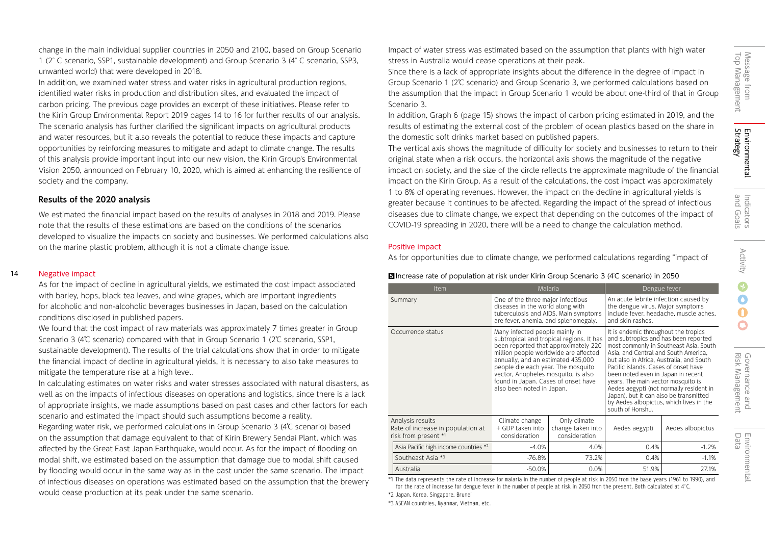$\Omega$  $\mathbf C$ 

Governance and<br>Risk Management Risk Management Governance and

change in the main individual supplier countries in 2050 and 2100, based on Group Scenario 1 (2°C scenario, SSP1, sustainable development) and Group Scenario 3 (4°C scenario, SSP3, unwanted world) that were developed in 2018.

In addition, we examined water stress and water risks in agricultural production regions, identified water risks in production and distribution sites, and evaluated the impact of carbon pricing. The previous page provides an excerpt of these initiatives. Please refer to the Kirin Group Environmental Report 2019 pages 14 to 16 for further results of our analysis. The scenario analysis has further clarified the significant impacts on agricultural products and water resources, but it also reveals the potential to reduce these impacts and capture opportunities by reinforcing measures to mitigate and adapt to climate change. The results of this analysis provide important input into our new vision, the Kirin Group's Environmental Vision 2050, announced on February 10, 2020, which is aimed at enhancing the resilience of society and the company.

### **Results of the 2020 analysis**

We estimated the financial impact based on the results of analyses in 2018 and 2019. Please note that the results of these estimations are based on the conditions of the scenarios developed to visualize the impacts on society and businesses. We performed calculations also on the marine plastic problem, although it is not a climate change issue.

#### 14 Negative impact

As for the impact of decline in agricultural yields, we estimated the cost impact associated with barley, hops, black tea leaves, and wine grapes, which are important ingredients for alcoholic and non-alcoholic beverages businesses in Japan, based on the calculation conditions disclosed in published papers.

We found that the cost impact of raw materials was approximately 7 times greater in Group Scenario 3 (4℃ scenario) compared with that in Group Scenario 1 (2℃ scenario, SSP1, sustainable development). The results of the trial calculations show that in order to mitigate the financial impact of decline in agricultural yields, it is necessary to also take measures to mitigate the temperature rise at a high level.

In calculating estimates on water risks and water stresses associated with natural disasters, as well as on the impacts of infectious diseases on operations and logistics, since there is a lack of appropriate insights, we made assumptions based on past cases and other factors for each scenario and estimated the impact should such assumptions become a reality.

Regarding water risk, we performed calculations in Group Scenario 3 (4℃ scenario) based on the assumption that damage equivalent to that of Kirin Brewery Sendai Plant, which was affected by the Great East Japan Earthquake, would occur. As for the impact of flooding on modal shift, we estimated based on the assumption that damage due to modal shift caused by flooding would occur in the same way as in the past under the same scenario. The impact of infectious diseases on operations was estimated based on the assumption that the brewery would cease production at its peak under the same scenario.

Impact of water stress was estimated based on the assumption that plants with high water stress in Australia would cease operations at their peak.

Since there is a lack of appropriate insights about the difference in the degree of impact in Group Scenario 1 (2℃ scenario) and Group Scenario 3, we performed calculations based on the assumption that the impact in Group Scenario 1 would be about one-third of that in Group Scenario 3.

In addition, Graph 6 (page 15) shows the impact of carbon pricing estimated in 2019, and the results of estimating the external cost of the problem of ocean plastics based on the share in the domestic soft drinks market based on published papers.

The vertical axis shows the magnitude of difficulty for society and businesses to return to their original state when a risk occurs, the horizontal axis shows the magnitude of the negative impact on society, and the size of the circle reflects the approximate magnitude of the financial impact on the Kirin Group. As a result of the calculations, the cost impact was approximately 1 to 8% of operating revenues. However, the impact on the decline in agricultural yields is greater because it continues to be affected. Regarding the impact of the spread of infectious diseases due to climate change, we expect that depending on the outcomes of the impact of COVID-19 spreading in 2020, there will be a need to change the calculation method.

### Positive impact

As for opportunities due to climate change, we performed calculations regarding "impact of

### 5Increase rate of population at risk under Kirin Group Scenario 3 (4℃ scenario) in 2050

| <b>Item</b>                                                                   | Malaria                                                                                                                                                                                                                                                                                                                                            |       | Dengue fever                                                                                                                                                                                                                                                                                                                                                                                                                                                                       |                  |  |  |  |
|-------------------------------------------------------------------------------|----------------------------------------------------------------------------------------------------------------------------------------------------------------------------------------------------------------------------------------------------------------------------------------------------------------------------------------------------|-------|------------------------------------------------------------------------------------------------------------------------------------------------------------------------------------------------------------------------------------------------------------------------------------------------------------------------------------------------------------------------------------------------------------------------------------------------------------------------------------|------------------|--|--|--|
| Summary                                                                       | One of the three major infectious<br>diseases in the world along with<br>tuberculosis and AIDS. Main symptoms<br>are fever, anemia, and splenomegaly.                                                                                                                                                                                              |       | An acute febrile infection caused by<br>the dengue virus. Major symptoms<br>include fever, headache, muscle aches,<br>and skin rashes.                                                                                                                                                                                                                                                                                                                                             |                  |  |  |  |
| Occurrence status                                                             | Many infected people mainly in<br>subtropical and tropical regions. It has<br>been reported that approximately 220<br>million people worldwide are affected<br>annually, and an estimated 435,000<br>people die each year. The mosquito<br>vector, Anopheles mosquito, is also<br>found in Japan. Cases of onset have<br>also been noted in Japan. |       | It is endemic throughout the tropics<br>and subtropics and has been reported<br>most commonly in Southeast Asia, South<br>Asia, and Central and South America,<br>but also in Africa, Australia, and South<br>Pacific islands. Cases of onset have<br>been noted even in Japan in recent<br>years. The main vector mosquito is<br>Aedes aegypti (not normally resident in<br>Japan), but it can also be transmitted<br>by Aedes albopictus, which lives in the<br>south of Honshu. |                  |  |  |  |
| Analysis results<br>Rate of increase in population at<br>risk from present *1 | Climate change<br>Only climate<br>+ GDP taken into<br>change taken into<br>consideration<br>consideration                                                                                                                                                                                                                                          |       | Aedes aegypti                                                                                                                                                                                                                                                                                                                                                                                                                                                                      | Aedes albopictus |  |  |  |
| Asia Pacific high income countries *2                                         | $-4.0%$                                                                                                                                                                                                                                                                                                                                            | 4.0%  | 0.4%                                                                                                                                                                                                                                                                                                                                                                                                                                                                               | $-1.2%$          |  |  |  |
| Southeast Asia *3                                                             | $-76.8%$                                                                                                                                                                                                                                                                                                                                           | 73.2% | 0.4%                                                                                                                                                                                                                                                                                                                                                                                                                                                                               | $-1.1%$          |  |  |  |
| Australia                                                                     | $-50.0%$                                                                                                                                                                                                                                                                                                                                           | 0.0%  | 51.9%<br>27.1%                                                                                                                                                                                                                                                                                                                                                                                                                                                                     |                  |  |  |  |

\*1 The data represents the rate of increase for malaria in the number of people at risk in 2050 from the base years (1961 to 1990), and for the rate of increase for dengue fever in the number of people at risk in 2050 from the present. Both calculated at 4°C.

\*2 Japan, Korea, Singapore, Brunei

\*3 ASEAN countries, Myanmar, Vietnam, etc.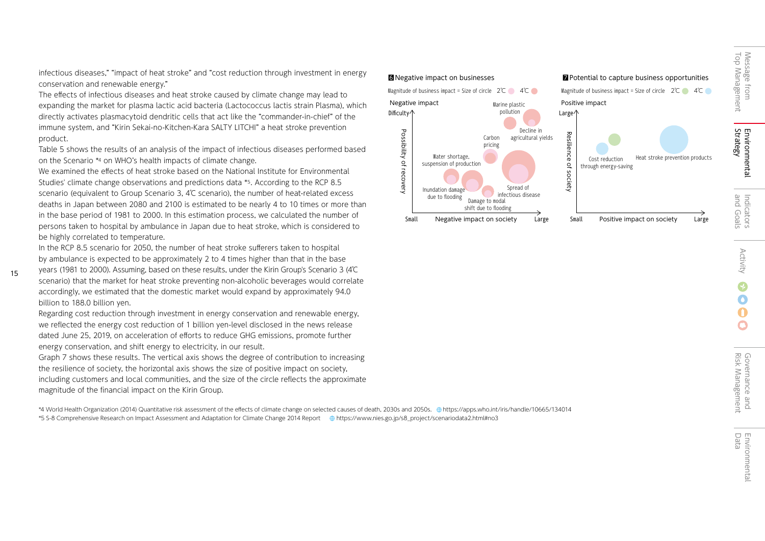infectious diseases," "impact of heat stroke" and "cost reduction through investment in energy conservation and renewable energy."

The effects of infectious diseases and heat stroke caused by climate change may lead to expanding the market for plasma lactic acid bacteria (Lactococcus lactis strain Plasma), which directly activates plasmacytoid dendritic cells that act like the "commander-in-chief" of the immune system, and "Kirin Sekai-no-Kitchen-Kara SALTY LITCHI" a heat stroke prevention product.

Table 5 shows the results of an analysis of the impact of infectious diseases performed based on the Scenario \*4 on WHO's health impacts of climate change.

We examined the effects of heat stroke based on the National Institute for Environmental Studies' climate change observations and predictions data \*5. According to the RCP 8.5 scenario (equivalent to Group Scenario 3, 4℃ scenario), the number of heat-related excess deaths in Japan between 2080 and 2100 is estimated to be nearly 4 to 10 times or more than in the base period of 1981 to 2000. In this estimation process, we calculated the number of persons taken to hospital by ambulance in Japan due to heat stroke, which is considered to be highly correlated to temperature.

In the RCP 8.5 scenario for 2050, the number of heat stroke sufferers taken to hospital by ambulance is expected to be approximately 2 to 4 times higher than that in the base

15

years (1981 to 2000). Assuming, based on these results, under the Kirin Group's Scenario 3 (4℃ scenario) that the market for heat stroke preventing non-alcoholic beverages would correlate accordingly, we estimated that the domestic market would expand by approximately 94.0 billion to 188.0 billion yen.

Regarding cost reduction through investment in energy conservation and renewable energy, we reflected the energy cost reduction of 1 billion yen-level disclosed in the news release dated June 25, 2019, on acceleration of efforts to reduce GHG emissions, promote further energy conservation, and shift energy to electricity, in our result.

Graph 7 shows these results. The vertical axis shows the degree of contribution to increasing the resilience of society, the horizontal axis shows the size of positive impact on society, including customers and local communities, and the size of the circle reflects the approximate magnitude of the financial impact on the Kirin Group.

\*4 World Health Organization (2014) Quantitative risk assessment of the effects of climate change on selected causes of death, 2030s and 2050s. https://apps.who.int/iris/handle/10665/134014 \*5 S-8 Comprehensive Research on Impact Assessment and Adaptation for Climate Change 2014 Report https://www.nies.go.jp/s8\_project/scenariodata2.html#no3

#### **6** Negative impact on businesses 7 Potential to capture business opportunities



 $\bigcap$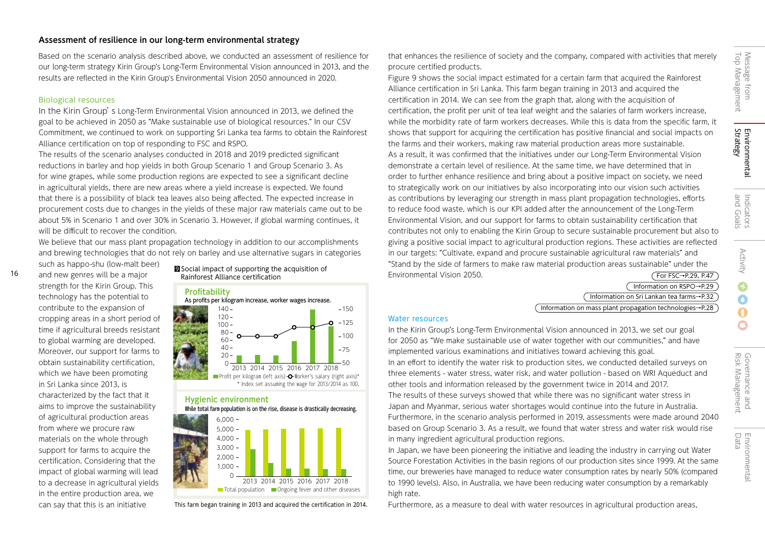# Environmental<br>Strategy Environmental

Indicators<br>and Goals and Goals Indicators Activity

 $\mathbf \Omega$ 

### **Assessment of resilience in our long-term environmental strategy**

Based on the scenario analysis described above, we conducted an assessment of resilience for our long-term strategy Kirin Group's Long-Term Environmental Vision announced in 2013, and the results are reflected in the Kirin Group's Environmental Vision 2050 announced in 2020.

### Biological resources

16

In the Kirin Group's Long-Term Environmental Vision announced in 2013, we defined the goal to be achieved in 2050 as "Make sustainable use of biological resources." In our CSV Commitment, we continued to work on supporting Sri Lanka tea farms to obtain the Rainforest Alliance certification on top of responding to FSC and RSPO.

The results of the scenario analyses conducted in 2018 and 2019 predicted significant reductions in barley and hop yields in both Group Scenario 1 and Group Scenario 3. As for wine grapes, while some production regions are expected to see a significant decline in agricultural yields, there are new areas where a yield increase is expected. We found that there is a possibility of black tea leaves also being affected. The expected increase in procurement costs due to changes in the yields of these major raw materials came out to be about 5% in Scenario 1 and over 30% in Scenario 3. However, if global warming continues, it will be difficult to recover the condition.

We believe that our mass plant propagation technology in addition to our accomplishments and brewing technologies that do not rely on barley and use alternative sugars in categories

and new genres will be a major strength for the Kirin Group. This technology has the potential to contribute to the expansion of cropping areas in a short period of time if agricultural breeds resistant to global warming are developed. Moreover, our support for farms to obtain sustainability certification, which we have been promoting in Sri Lanka since 2013, is characterized by the fact that it aims to improve the sustainability of agricultural production areas from where we procure raw materials on the whole through support for farms to acquire the certification. Considering that the impact of global warming will lead to a decrease in agricultural yields in the entire production area, we can say that this is an initiative

such as happo-shu (low-malt beer)

**2** Social impact of supporting the acquisition of Rainforest Alliance certification





This farm began training in 2013 and acquired the certification in 2014.

that enhances the resilience of society and the company, compared with activities that merely procure certified products.

Figure 9 shows the social impact estimated for a certain farm that acquired the Rainforest Alliance certification in Sri Lanka. This farm began training in 2013 and acquired the certification in 2014. We can see from the graph that, along with the acquisition of certification, the profit per unit of tea leaf weight and the salaries of farm workers increase, while the morbidity rate of farm workers decreases. While this is data from the specific farm, it shows that support for acquiring the certification has positive financial and social impacts on the farms and their workers, making raw material production areas more sustainable. As a result, it was confirmed that the initiatives under our Long-Term Environmental Vision demonstrate a certain level of resilience. At the same time, we have determined that in order to further enhance resilience and bring about a positive impact on society, we need to strategically work on our initiatives by also incorporating into our vision such activities as contributions by leveraging our strength in mass plant propagation technologies, efforts to reduce food waste, which is our KPI added after the announcement of the Long-Term Environmental Vision, and our support for farms to obtain sustainability certification that contributes not only to enabling the Kirin Group to secure sustainable procurement but also to giving a positive social impact to agricultural production regions. These activities are reflected in our targets: "Cultivate, expand and procure sustainable agricultural raw materials" and "Stand by the side of farmers to make raw material production areas sustainable" under the Environmental Vision 2050. For FSC→P.29、P.47

Information on RSPO→P.29 Information on Sri Lankan tea farms→P.32 Information on mass plant propagation technologies→P.28

### Water resources

In the Kirin Group's Long-Term Environmental Vision announced in 2013, we set our goal for 2050 as "We make sustainable use of water together with our communities," and have implemented various examinations and initiatives toward achieving this goal. In an effort to identify the water risk to production sites, we conducted detailed surveys on three elements - water stress, water risk, and water pollution - based on WRI Aqueduct and other tools and information released by the government twice in 2014 and 2017. The results of these surveys showed that while there was no significant water stress in Japan and Myanmar, serious water shortages would continue into the future in Australia. Furthermore, in the scenario analysis performed in 2019, assessments were made around 2040 based on Group Scenario 3. As a result, we found that water stress and water risk would rise in many ingredient agricultural production regions.

In Japan, we have been pioneering the initiative and leading the industry in carrying out Water Source Forestation Activities in the basin regions of our production sites since 1999. At the same time, our breweries have managed to reduce water consumption rates by nearly 50% (compared to 1990 levels). Also, in Australia, we have been reducing water consumption by a remarkably high rate.

Furthermore, as a measure to deal with water resources in agricultural production areas,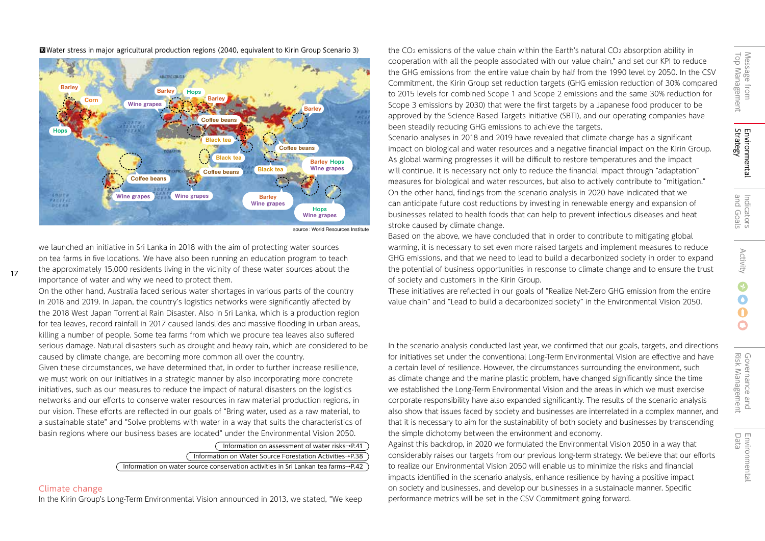Environmental<br>Strategy Environmental

Governance and<br>Risk Management Risk Management Governance and

■<sup>10</sup> Water stress in major agricultural production regions (2040, equivalent to Kirin Group Scenario 3)



source:World Resources Institute

we launched an initiative in Sri Lanka in 2018 with the aim of protecting water sources on tea farms in five locations. We have also been running an education program to teach the approximately 15,000 residents living in the vicinity of these water sources about the importance of water and why we need to protect them.

On the other hand, Australia faced serious water shortages in various parts of the country in 2018 and 2019. In Japan, the country's logistics networks were significantly affected by the 2018 West Japan Torrential Rain Disaster. Also in Sri Lanka, which is a production region for tea leaves, record rainfall in 2017 caused landslides and massive flooding in urban areas, killing a number of people. Some tea farms from which we procure tea leaves also suffered serious damage. Natural disasters such as drought and heavy rain, which are considered to be caused by climate change, are becoming more common all over the country.

Given these circumstances, we have determined that, in order to further increase resilience, we must work on our initiatives in a strategic manner by also incorporating more concrete initiatives, such as our measures to reduce the impact of natural disasters on the logistics networks and our efforts to conserve water resources in raw material production regions, in our vision. These efforts are reflected in our goals of "Bring water, used as a raw material, to a sustainable state" and "Solve problems with water in a way that suits the characteristics of basin regions where our business bases are located" under the Environmental Vision 2050.

| Information on assessment of water risks $\rightarrow$ P.41                      |
|----------------------------------------------------------------------------------|
| (Information on Water Source Forestation Activities→P.38                         |
| Information on water source conservation activities in Sri Lankan tea farms→P.42 |
|                                                                                  |

Climate change

In the Kirin Group's Long-Term Environmental Vision announced in 2013, we stated, "We keep

the  $CO<sub>2</sub>$  emissions of the value chain within the Earth's natural  $CO<sub>2</sub>$  absorption ability in cooperation with all the people associated with our value chain," and set our KPI to reduce the GHG emissions from the entire value chain by half from the 1990 level by 2050. In the CSV Commitment, the Kirin Group set reduction targets (GHG emission reduction of 30% compared to 2015 levels for combined Scope 1 and Scope 2 emissions and the same 30% reduction for Scope 3 emissions by 2030) that were the first targets by a Japanese food producer to be approved by the Science Based Targets initiative (SBTi), and our operating companies have been steadily reducing GHG emissions to achieve the targets.

Scenario analyses in 2018 and 2019 have revealed that climate change has a significant impact on biological and water resources and a negative financial impact on the Kirin Group. As global warming progresses it will be difficult to restore temperatures and the impact will continue. It is necessary not only to reduce the financial impact through "adaptation" measures for biological and water resources, but also to actively contribute to "mitigation." On the other hand, findings from the scenario analysis in 2020 have indicated that we can anticipate future cost reductions by investing in renewable energy and expansion of businesses related to health foods that can help to prevent infectious diseases and heat stroke caused by climate change.

Based on the above, we have concluded that in order to contribute to mitigating global warming, it is necessary to set even more raised targets and implement measures to reduce GHG emissions, and that we need to lead to build a decarbonized society in order to expand the potential of business opportunities in response to climate change and to ensure the trust of society and customers in the Kirin Group.

These initiatives are reflected in our goals of "Realize Net-Zero GHG emission from the entire value chain" and "Lead to build a decarbonized society" in the Environmental Vision 2050.

In the scenario analysis conducted last year, we confirmed that our goals, targets, and directions for initiatives set under the conventional Long-Term Environmental Vision are effective and have a certain level of resilience. However, the circumstances surrounding the environment, such as climate change and the marine plastic problem, have changed significantly since the time we established the Long-Term Environmental Vision and the areas in which we must exercise corporate responsibility have also expanded significantly. The results of the scenario analysis also show that issues faced by society and businesses are interrelated in a complex manner, and that it is necessary to aim for the sustainability of both society and businesses by transcending the simple dichotomy between the environment and economy.

Against this backdrop, in 2020 we formulated the Environmental Vision 2050 in a way that considerably raises our targets from our previous long-term strategy. We believe that our efforts to realize our Environmental Vision 2050 will enable us to minimize the risks and financial impacts identified in the scenario analysis, enhance resilience by having a positive impact on society and businesses, and develop our businesses in a sustainable manner. Specific performance metrics will be set in the CSV Commitment going forward.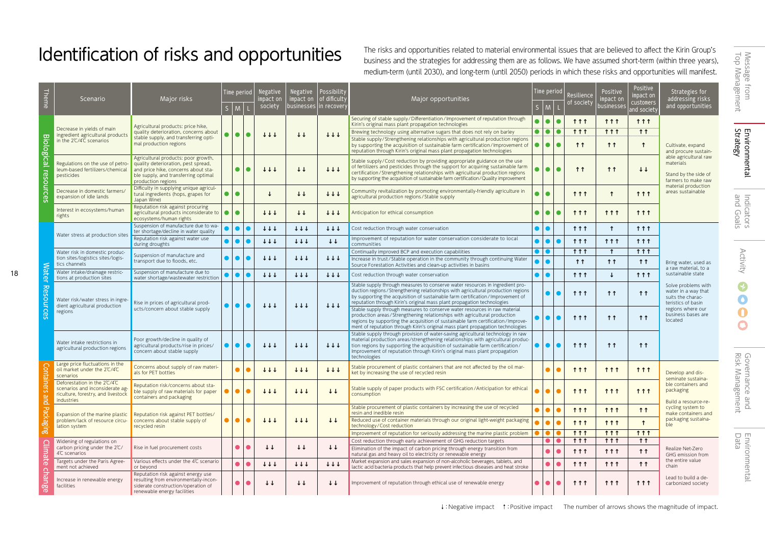Identification of risks and opportunities and opportunities related to material environmental issues that are believed to affect the Kirin Group's business and the strategies for addressing them are as follows. We have ass business and the strategies for addressing them are as follows. We have assumed short-term (within three years), medium-term (until 2030), and long-term (until 2050) periods in which these risks and opportunities will manifest.

| Theme             | Scenario                                                                                                            | Major risks                                                                                                                                                                     |                        | Time period                 | <b>Negative</b><br>impact <u>on</u><br>society | Negative | Possibility<br>impact on   of difficulty<br>businesses in recovery                                     | Major opportunities                                                                                                                                                                                                                                                                                                                                                                                                                                            | S                                                 | Time period    |                                     | Resilience<br>of society | Positive<br>impact on<br>businesses | <b>Positive</b><br>mpact on<br>customers      | Strategies for<br>addressing risks<br>and opportunities                               | $\varpi$<br>trom<br><b>Igement</b> |  |
|-------------------|---------------------------------------------------------------------------------------------------------------------|---------------------------------------------------------------------------------------------------------------------------------------------------------------------------------|------------------------|-----------------------------|------------------------------------------------|----------|--------------------------------------------------------------------------------------------------------|----------------------------------------------------------------------------------------------------------------------------------------------------------------------------------------------------------------------------------------------------------------------------------------------------------------------------------------------------------------------------------------------------------------------------------------------------------------|---------------------------------------------------|----------------|-------------------------------------|--------------------------|-------------------------------------|-----------------------------------------------|---------------------------------------------------------------------------------------|------------------------------------|--|
| <u>Biological</u> | Decrease in yields of main<br>ingredient agricultural products<br>in the 2°C/4℃ scenarios                           | Agricultural products: price hike,<br>quality deterioration, concerns about<br>stable supply, and transferring opti-<br>mal production regions                                  | $\bullet$              | M<br>$\bullet$<br>$\bullet$ | 111                                            | $+1$     | 111                                                                                                    | Securing of stable supply/Differentiation/Improvement of reputation through<br>Kirin's original mass plant propagation technologies<br>Brewing technology using alternative sugars that does not rely on barley<br>Stable supply/Strengthening relationships with agricultural production regions<br>by supporting the acquisition of sustainable farm certification/Improvement of<br>reputation through Kirin's original mass plant propagation technologies | $\bullet\bullet$<br>$\bullet\bullet$<br>$\bullet$ | M<br>$\bullet$ | $\bullet$<br>$\bullet$<br>$\bullet$ | 111<br><b>111</b><br>T T | 1 1 1<br><b>111</b><br><b>11</b>    | and society<br>111<br><b>11</b><br>$\uparrow$ | Cultivate, expand<br>and procure sustain-                                             |                                    |  |
|                   | Regulations on the use of petro-<br>leum-based fertilizers/chemical<br>pesticides                                   | Agricultural products: poor growth,<br>quality deterioration, pest spread,<br>and price hike, concerns about sta-<br>ble supply, and transferring optimal<br>production regions |                        | $\bullet$<br>$\bullet$      | 111                                            | $+1$     | 111                                                                                                    | Stable supply/Cost reduction by providing appropriate guidance on the use<br>of fertilizers and pesticides through the support for acquiring sustainable farm<br>certification / Strengthening relationships with agricultural production regions<br>by supporting the acquisition of sustainable farm certification/Quality improvement                                                                                                                       | $\bullet\bullet$                                  |                | $\bullet$                           | <b>11</b>                | <b>11</b>                           | $+1$                                          | able agricultural raw<br>materials<br>Stand by the side of<br>farmers to make raw     | Environmental<br>Strategy          |  |
|                   | Decrease in domestic farmers/<br>expansion of idle lands                                                            | Difficulty in supplying unique agricul-<br>tural ingredients (hops, grapes for<br>Japan Wine)                                                                                   | $\bullet$<br>$\bullet$ |                             | $\mathbf{r}$                                   | $+1$     | 111                                                                                                    | Community revitalization by promoting environmentally-friendly agriculture in<br>agricultural production regions / Stable supply                                                                                                                                                                                                                                                                                                                               | $\bullet$                                         | $\bullet$      |                                     | <b>111</b>               | $\uparrow$                          | <b>111</b>                                    | material production<br>areas sustainable                                              |                                    |  |
|                   | Interest in ecosystems/human<br>rights                                                                              | Reputation risk against procuring<br>agricultural products inconsiderate to<br>ecosystems/human rights                                                                          | $\bullet$<br>C         |                             | 111                                            | $+1$     | 111                                                                                                    | Anticipation for ethical consumption                                                                                                                                                                                                                                                                                                                                                                                                                           | $\bullet$                                         | $\bullet$      | $\bullet$                           | 1 1 1                    | 111                                 | <b>111</b>                                    |                                                                                       | Indicators<br>and Goals            |  |
|                   |                                                                                                                     | Suspension of manufacture due to wa-<br>ter shortage/decline in water quality                                                                                                   | n<br>c                 |                             | 111                                            | 111      | 111                                                                                                    | Cost reduction through water conservation                                                                                                                                                                                                                                                                                                                                                                                                                      |                                                   |                |                                     | <b>111</b>               | $\uparrow$                          | <b>111</b>                                    |                                                                                       |                                    |  |
|                   | Water stress at production sites                                                                                    | Reputation risk against water use<br>during droughts                                                                                                                            | $\bullet$<br>$\bullet$ |                             | 111                                            | 111      | $+1$                                                                                                   | Improvement of reputation for water conservation considerate to local<br>communities                                                                                                                                                                                                                                                                                                                                                                           | $\bullet$                                         | $\bullet$      | ●                                   | <b>111</b>               | <b>111</b>                          | <b>111</b>                                    |                                                                                       |                                    |  |
|                   | Water risk in domestic produc-                                                                                      | Suspension of manufacture and<br>transport due to floods, etc.                                                                                                                  |                        |                             |                                                |          |                                                                                                        | Continually improved BCP and execution capabilities                                                                                                                                                                                                                                                                                                                                                                                                            | $\bullet\bullet$                                  |                |                                     | 1 1 1                    | $\uparrow$                          | 1 T T                                         |                                                                                       |                                    |  |
|                   | tion sites/logistics sites/logis-<br>tics channels                                                                  |                                                                                                                                                                                 | $\bullet$              |                             | 111                                            | 111      | 111                                                                                                    | Increase in trust / Stable operation in the community through continuing Water<br>Source Forestation Activities and clean-up activities in basins                                                                                                                                                                                                                                                                                                              |                                                   |                |                                     | ተ ተ                      | <b>↑↑</b>                           | 1 1                                           | Bring water, used as                                                                  | <b>Activity</b>                    |  |
|                   | Water intake/drainage restric-<br>tions at production sites                                                         | Suspension of manufacture due to<br>water shortage/wastewater restriction                                                                                                       | $\bullet$<br>$\bullet$ |                             | 111                                            | 111      | 111                                                                                                    | Cost reduction through water conservation                                                                                                                                                                                                                                                                                                                                                                                                                      | $\bullet\bullet$                                  |                |                                     | <b>111</b>               | $\downarrow$                        | <b>111</b>                                    | a raw material, to a<br>sustainable state                                             |                                    |  |
|                   | Water risk/water stress in ingre-<br>dient agricultural production                                                  | Rise in prices of agricultural prod-                                                                                                                                            | $\bullet$              | $\bullet$<br>$\bullet$      | 111                                            | 111      | 111                                                                                                    | Stable supply through measures to conserve water resources in ingredient pro-<br>duction regions / Strengthening relationships with agricultural production regions<br>by supporting the acquisition of sustainable farm certification/Improvement of<br>reputation through Kirin's original mass plant propagation technologies                                                                                                                               |                                                   | $\bullet$      | ●                                   | <b>111</b>               | <b>↑↑</b>                           | <b>↑↑</b>                                     | Solve problems with<br>water in a way that<br>suits the charac-<br>teristics of basin |                                    |  |
|                   | regions                                                                                                             | ucts/concern about stable supply                                                                                                                                                |                        |                             |                                                |          |                                                                                                        | Stable supply through measures to conserve water resources in raw material<br>production areas / Strengthening relationships with agricultural production<br>regions by supporting the acquisition of sustainable farm certification/Improve-<br>ment of reputation through Kirin's original mass plant propagation technologies                                                                                                                               |                                                   | $\bullet$      | ●                                   | 1 T T                    | 1 ተ                                 | 1 ተ                                           | regions where our<br>business bases are<br>located                                    | $\mathbf 0$                        |  |
|                   | Water intake restrictions in<br>agricultural production regions                                                     | Poor growth/decline in quality of<br>agricultural products/rise in prices/<br>concern about stable supply                                                                       | $\bullet\bullet$       | $\bullet$                   | 111                                            | 111      | 111                                                                                                    | Stable supply through provision of water-saving agricultural technology in raw<br>material production areas/strengthening relationships with agricultural produc-<br>tion regions by supporting the acquisition of sustainable farm certification/<br>Improvement of reputation through Kirin's original mass plant propagation<br>technologies                                                                                                                | $\bullet\bullet$                                  |                | $\bullet$                           | 1 T T                    | ተ ተ                                 | 1 1                                           |                                                                                       |                                    |  |
|                   | Large price fluctuations in the<br>oil market under the 2°C/4°C<br>scenarios                                        | Concerns about supply of raw materi-<br>als for PET bottles                                                                                                                     |                        | $\bullet$                   | 111                                            | 111      | 111                                                                                                    | Stable procurement of plastic containers that are not affected by the oil mar-<br>ket by increasing the use of recycled resin                                                                                                                                                                                                                                                                                                                                  |                                                   | $\bullet$      | $\bullet$                           | 11 T                     | <b>111</b>                          | <b>111</b>                                    | Develop and dis-<br>seminate sustaina-                                                | Governance<br>Risk Manag           |  |
|                   | Deforestation in the 2°C/4°C<br>scenarios and inconsiderate ag-<br>riculture, forestry, and livestock<br>industries | Reputation risk/concerns about sta-<br>ble supply of raw materials for paper<br>containers and packaging                                                                        | $\bullet$              |                             | 111                                            | 111      | $+1$                                                                                                   | Stable supply of paper products with FSC certification/Anticipation for ethical<br>consumption                                                                                                                                                                                                                                                                                                                                                                 |                                                   |                | O                                   | 11 T                     | <b>111</b>                          | <b>111</b>                                    | ble containers and<br>packaging<br>Build a resource-re-                               | Manageme<br>$\mathbb{D}$           |  |
|                   |                                                                                                                     |                                                                                                                                                                                 |                        |                             |                                                |          | Stable procurement of plastic containers by increasing the use of recycled<br>resin and inedible resin |                                                                                                                                                                                                                                                                                                                                                                                                                                                                | $\bullet$                                         | $\bullet$      | <b>111</b>                          | <b>111</b>               | <b>11</b>                           | cycling system to<br>make containers and      | and                                                                                   |                                    |  |
|                   | Expansion of the marine plastic<br>problem/lack of resource circu-<br>lation system                                 | Reputation risk against PET bottles/<br>concerns about stable supply of<br>recycled resin                                                                                       | $\bullet$ io           |                             | 111                                            | 111      | $+1$                                                                                                   | Reduced use of container materials through our original light-weight packaging<br>technology/Cost reduction                                                                                                                                                                                                                                                                                                                                                    |                                                   | $\bullet$      | ●                                   | <b>111</b>               | <b>111</b>                          | $\uparrow$                                    | packaging sustaina-<br>ble                                                            |                                    |  |
|                   |                                                                                                                     |                                                                                                                                                                                 |                        |                             |                                                |          |                                                                                                        | Improvement of reputation for seriously addressing the marine plastic problem                                                                                                                                                                                                                                                                                                                                                                                  |                                                   | $\bullet$      |                                     | <b>111</b>               | <b>111</b>                          | <b>111</b>                                    |                                                                                       |                                    |  |
|                   | Widening of regulations on                                                                                          |                                                                                                                                                                                 |                        |                             |                                                |          |                                                                                                        | Cost reduction through early achievement of GHG reduction targets                                                                                                                                                                                                                                                                                                                                                                                              |                                                   | $\bullet$      | $\bullet$                           | <b>111</b>               | <b>111</b>                          | ተ ተ                                           |                                                                                       |                                    |  |
|                   | carbon pricing under the 2°C/<br>4°C scenarios                                                                      | Rise in fuel procurement costs                                                                                                                                                  | $\bullet$              |                             | ↓↓                                             | $+1$     | $+ +$                                                                                                  | Elimination of the impact of carbon pricing through energy transition from<br>natural gas and heavy oil to electricity or renewable energy                                                                                                                                                                                                                                                                                                                     |                                                   | $\bullet$      | $\bullet$                           | <b>111</b>               | 111                                 | <b>↑↑</b>                                     | Realize Net-Zero<br>GHG emission from                                                 |                                    |  |
|                   | Targets under the Paris Agree-<br>ment not achieved                                                                 | Various effects under the 4°C scenario<br>or beyond                                                                                                                             |                        | $\bullet$                   | 111                                            | 111      | 111                                                                                                    | Market expansion and sales expansion of non-alcoholic beverages, tablets, and<br>lactic acid bacteria products that help prevent infectious diseases and heat stroke                                                                                                                                                                                                                                                                                           |                                                   | $\bullet$      | $\bullet$                           | <b>111</b>               | 11 T                                | <b>11</b>                                     | the entire value<br>chain                                                             |                                    |  |
|                   | Increase in renewable energy<br>facilities                                                                          | Reputation risk against energy use<br>resulting from environmentally-incon-<br>siderate construction/operation of<br>renewable energy facilities                                |                        | $\bullet$                   | $+1$                                           | $+1$     | $+1$                                                                                                   | Improvement of reputation through ethical use of renewable energy                                                                                                                                                                                                                                                                                                                                                                                              | $\bullet\bullet$                                  |                | $\bullet$                           | 1 T T                    | 1 1 1                               | <b>111</b>                                    | Lead to build a de-<br>carbonized society                                             | Environmental<br>Data              |  |